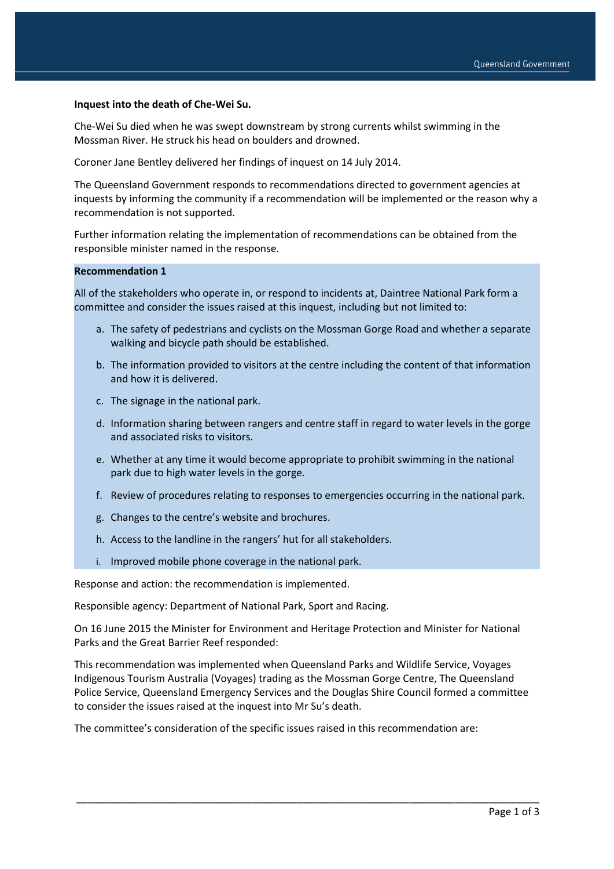#### **Inquest into the death of Che-Wei Su.**

Che-Wei Su died when he was swept downstream by strong currents whilst swimming in the Mossman River. He struck his head on boulders and drowned.

Coroner Jane Bentley delivered her findings of inquest on 14 July 2014.

The Queensland Government responds to recommendations directed to government agencies at inquests by informing the community if a recommendation will be implemented or the reason why a recommendation is not supported.

Further information relating the implementation of recommendations can be obtained from the responsible minister named in the response.

#### **Recommendation 1**

All of the stakeholders who operate in, or respond to incidents at, Daintree National Park form a committee and consider the issues raised at this inquest, including but not limited to:

- a. The safety of pedestrians and cyclists on the Mossman Gorge Road and whether a separate walking and bicycle path should be established.
- b. The information provided to visitors at the centre including the content of that information and how it is delivered.
- c. The signage in the national park.
- d. Information sharing between rangers and centre staff in regard to water levels in the gorge and associated risks to visitors.
- e. Whether at any time it would become appropriate to prohibit swimming in the national park due to high water levels in the gorge.
- f. Review of procedures relating to responses to emergencies occurring in the national park.
- g. Changes to the centre's website and brochures.
- h. Access to the landline in the rangers' hut for all stakeholders.
- i. Improved mobile phone coverage in the national park.

Response and action: the recommendation is implemented.

Responsible agency: Department of National Park, Sport and Racing.

On 16 June 2015 the Minister for Environment and Heritage Protection and Minister for National Parks and the Great Barrier Reef responded:

This recommendation was implemented when Queensland Parks and Wildlife Service, Voyages Indigenous Tourism Australia (Voyages) trading as the Mossman Gorge Centre, The Queensland Police Service, Queensland Emergency Services and the Douglas Shire Council formed a committee to consider the issues raised at the inquest into Mr Su's death.

\_\_\_\_\_\_\_\_\_\_\_\_\_\_\_\_\_\_\_\_\_\_\_\_\_\_\_\_\_\_\_\_\_\_\_\_\_\_\_\_\_\_\_\_\_\_\_\_\_\_\_\_\_\_\_\_\_\_\_\_\_\_\_\_\_\_\_\_\_\_\_\_\_\_\_\_\_\_\_\_\_\_

The committee's consideration of the specific issues raised in this recommendation are: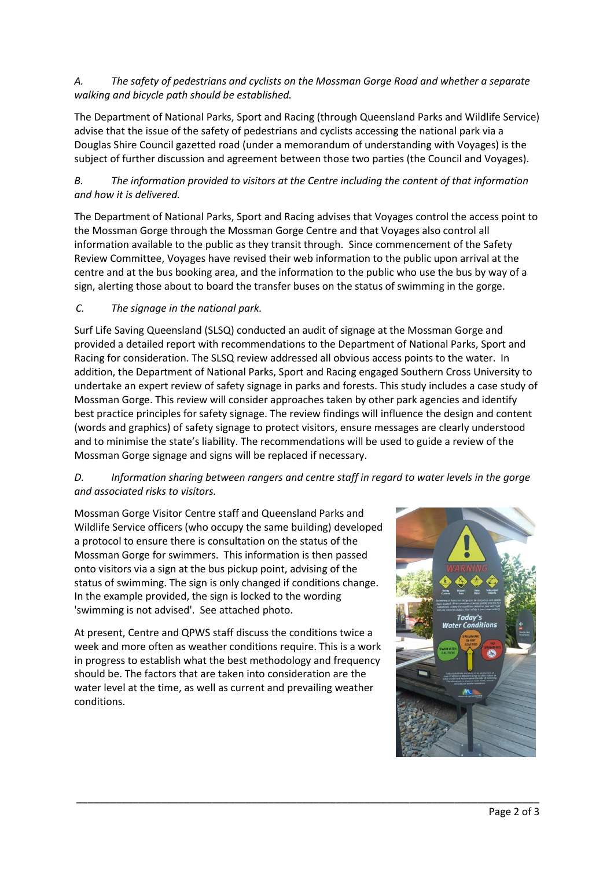### *A. The safety of pedestrians and cyclists on the Mossman Gorge Road and whether a separate walking and bicycle path should be established.*

The Department of National Parks, Sport and Racing (through Queensland Parks and Wildlife Service) advise that the issue of the safety of pedestrians and cyclists accessing the national park via a Douglas Shire Council gazetted road (under a memorandum of understanding with Voyages) is the subject of further discussion and agreement between those two parties (the Council and Voyages).

# *B. The information provided to visitors at the Centre including the content of that information and how it is delivered.*

The Department of National Parks, Sport and Racing advises that Voyages control the access point to the Mossman Gorge through the Mossman Gorge Centre and that Voyages also control all information available to the public as they transit through. Since commencement of the Safety Review Committee, Voyages have revised their web information to the public upon arrival at the centre and at the bus booking area, and the information to the public who use the bus by way of a sign, alerting those about to board the transfer buses on the status of swimming in the gorge.

# *C. The signage in the national park.*

Surf Life Saving Queensland (SLSQ) conducted an audit of signage at the Mossman Gorge and provided a detailed report with recommendations to the Department of National Parks, Sport and Racing for consideration. The SLSQ review addressed all obvious access points to the water. In addition, the Department of National Parks, Sport and Racing engaged Southern Cross University to undertake an expert review of safety signage in parks and forests. This study includes a case study of Mossman Gorge. This review will consider approaches taken by other park agencies and identify best practice principles for safety signage. The review findings will influence the design and content (words and graphics) of safety signage to protect visitors, ensure messages are clearly understood and to minimise the state's liability. The recommendations will be used to guide a review of the Mossman Gorge signage and signs will be replaced if necessary.

# *D. Information sharing between rangers and centre staff in regard to water levels in the gorge and associated risks to visitors.*

\_\_\_\_\_\_\_\_\_\_\_\_\_\_\_\_\_\_\_\_\_\_\_\_\_\_\_\_\_\_\_\_\_\_\_\_\_\_\_\_\_\_\_\_\_\_\_\_\_\_\_\_\_\_\_\_\_\_\_\_\_\_\_\_\_\_\_\_\_\_\_\_\_\_\_\_\_\_\_\_\_\_

Mossman Gorge Visitor Centre staff and Queensland Parks and Wildlife Service officers (who occupy the same building) developed a protocol to ensure there is consultation on the status of the Mossman Gorge for swimmers. This information is then passed onto visitors via a sign at the bus pickup point, advising of the status of swimming. The sign is only changed if conditions change. In the example provided, the sign is locked to the wording 'swimming is not advised'. See attached photo.

At present, Centre and QPWS staff discuss the conditions twice a week and more often as weather conditions require. This is a work in progress to establish what the best methodology and frequency should be. The factors that are taken into consideration are the water level at the time, as well as current and prevailing weather conditions.